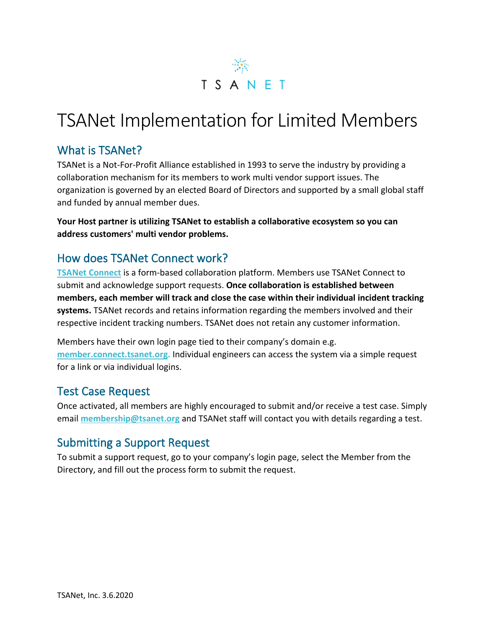

# TSANet Implementation for Limited Members

### What is TSANet?

TSANet is a Not-For-Profit Alliance established in 1993 to serve the industry by providing a collaboration mechanism for its members to work multi vendor support issues. The organization is governed by an elected Board of Directors and supported by a small global staff and funded by annual member dues.

**Your Host partner is utilizing TSANet to establish a collaborative ecosystem so you can address customers' multi vendor problems.**

# How does TSANet Connect work?

**[TSANet Connect](https://tsanet.org/tsanet-connect/)** is a form-based collaboration platform. Members use TSANet Connect to submit and acknowledge support requests. **Once collaboration is established between members, each member will track and close the case within their individual incident tracking systems.** TSANet records and retains information regarding the members involved and their respective incident tracking numbers. TSANet does not retain any customer information.

Members have their own login page tied to their company's domain e.g. **member.connect.tsanet.org.** Individual engineers can access the system via a simple request for a link or via individual logins.

#### Test Case Request

Once activated, all members are highly encouraged to submit and/or receive a test case. Simply email **[membership@tsanet.org](mailto:membership@tsanet.org)** and TSANet staff will contact you with details regarding a test.

### Submitting a Support Request

To submit a support request, go to your company's login page, select the Member from the Directory, and fill out the process form to submit the request.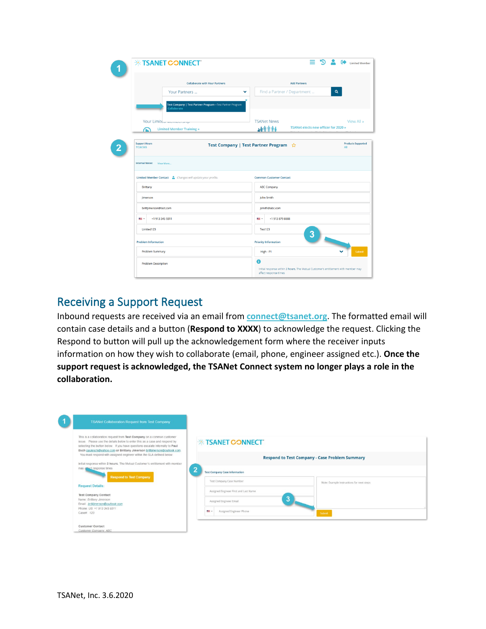| <b><i><b>EXAMEL CONNECT</b></i></b>                                     | =<br>₿<br><b>Limited Member</b>                                                    |  |
|-------------------------------------------------------------------------|------------------------------------------------------------------------------------|--|
| <b>Collaborate with Your Partners</b>                                   | <b>Add Partners</b>                                                                |  |
| Your Partners<br>$\checkmark$                                           | $\alpha$<br>Find a Partner / Department                                            |  |
| Test Company   Test Partner Program-Test Partner Program<br>Collaborate |                                                                                    |  |
| Your Limited membership                                                 | View All »<br><b>TSANet News</b>                                                   |  |
| <b>Limited Member Training »</b><br>⋒                                   | TSANet elects new officer for 2020 »<br>400006                                     |  |
|                                                                         |                                                                                    |  |
| <b>Support Hours</b><br>7/24/365                                        | <b>Products Supported</b><br>Test Company   Test Partner Program ☆<br>All          |  |
| <b>Internal Notes:</b><br>View More                                     |                                                                                    |  |
| Limited Member Contact & Changes will update your profile.              | <b>Common Customer Contact</b>                                                     |  |
| Brittany                                                                | <b>ABC Company</b>                                                                 |  |
| <b>Jimerson</b>                                                         | John Smith                                                                         |  |
| brittjimerson@test.com                                                  | jsmith@abc.com                                                                     |  |
| +1 913 345 9311<br>m.                                                   | +1 913 879 8888<br>m v                                                             |  |
| Limited123                                                              | <b>Test123</b><br>3                                                                |  |
| <b>Problem Information</b>                                              | $\ddot{\phantom{0}}$<br><b>Priority Information</b>                                |  |
| <b>Problem Summary</b>                                                  | Submit<br>High - P1                                                                |  |
| <b>Problem Description</b>                                              | A                                                                                  |  |
|                                                                         | Initial response within 2 hours. The Mutual Customer's entitlement with member may |  |

### Receiving a Support Request

Inbound requests are received via an email from **connect@tsanet.org**. The formatted email will contain case details and a button (**Respond to XXXX**) to acknowledge the request. Clicking the Respond to button will pull up the acknowledgement form where the receiver inputs information on how they wish to collaborate (email, phone, engineer assigned etc.). **Once the support request is acknowledged, the TSANet Connect system no longer plays a role in the collaboration.**

| <b>TSANet Collaboration Request from Test Company</b>                                                                                                                                                                                                                                                            |                                                                                                          |                                                       |
|------------------------------------------------------------------------------------------------------------------------------------------------------------------------------------------------------------------------------------------------------------------------------------------------------------------|----------------------------------------------------------------------------------------------------------|-------------------------------------------------------|
| This is a collaboration request from Test Company on a common customer<br>issue. Please use the details below to enter this as a case and respond by<br>selecting the button below. If you have questions escalate internally to Paul<br>Esch paulesch@yahoo.com or Brittany Jimerson brittjimerson@outlook.com. | <b>EXAMPLE CONNECT</b>                                                                                   |                                                       |
| You must respond with assigned engineer within the SLA defined below:<br>Initial response within 2 hours. The Mutual Customer's entitlement with member                                                                                                                                                          |                                                                                                          | <b>Respond to Test Company - Case Problem Summary</b> |
| may affect response times<br><b>Respond to Test Company</b>                                                                                                                                                                                                                                                      | ∍<br><b>Test Company Case Information</b><br>Test Company Case Number                                    |                                                       |
| <b>Request Details:</b>                                                                                                                                                                                                                                                                                          |                                                                                                          | Note: Example Instructions for next steps             |
| <b>Test Company Contact</b><br>Name: Brittany Jimerson<br>Email: brittjimerson@outlook.com<br>Phone: US: +1 913 345 9311<br>Case# 123                                                                                                                                                                            | Assigned Engineer First and Last Name<br>Assigned Engineer Email<br>Assigned Engineer Phone<br><b>Ma</b> | 3<br>Submit                                           |
| <b>Customer Contact</b><br>Customer Company: ABC                                                                                                                                                                                                                                                                 |                                                                                                          |                                                       |